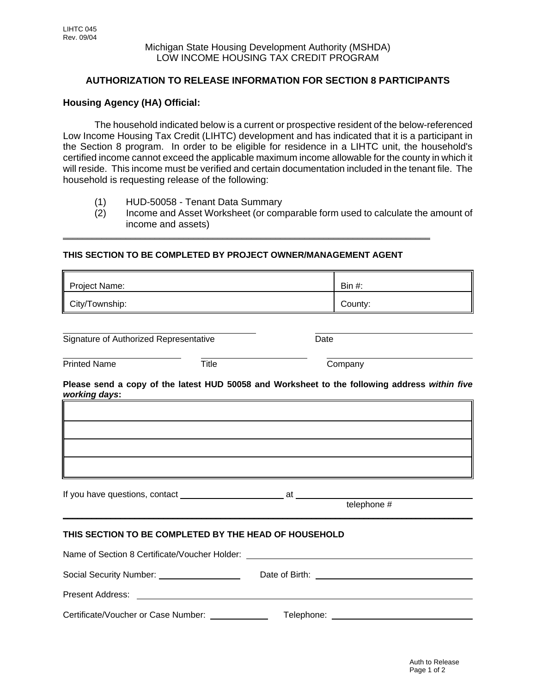## **AUTHORIZATION TO RELEASE INFORMATION FOR SECTION 8 PARTICIPANTS**

## **Housing Agency (HA) Official:**

The household indicated below is a current or prospective resident of the below-referenced Low Income Housing Tax Credit (LIHTC) development and has indicated that it is a participant in the Section 8 program. In order to be eligible for residence in a LIHTC unit, the household's certified income cannot exceed the applicable maximum income allowable for the county in which it will reside. This income must be verified and certain documentation included in the tenant file. The household is requesting release of the following:

- (1) HUD-50058 Tenant Data Summary
- (2) Income and Asset Worksheet (or comparable form used to calculate the amount of income and assets)

#### **THIS SECTION TO BE COMPLETED BY PROJECT OWNER/MANAGEMENT AGENT**

**\_\_\_\_\_\_\_\_\_\_\_\_\_\_\_\_\_\_\_\_\_\_\_\_\_\_\_\_\_\_\_\_\_\_\_\_\_\_\_\_\_\_\_\_\_\_\_\_\_\_\_\_\_\_\_\_\_\_\_\_\_\_\_\_\_\_\_\_\_\_\_\_\_\_\_\_**

| Project Name:  | Ш<br>Bin $#$ : |
|----------------|----------------|
| City/Township: | County:        |

Signature of Authorized Representative Date

Printed Name Title Title Company

**Please send a copy of the latest HUD 50058 and Worksheet to the following address** *within five working days***:**

If you have questions, contact at at a set of  $\alpha$  at a set of  $\alpha$  at a set of  $\alpha$  at a set of  $\alpha$  at a set of  $\alpha$  at a set of  $\alpha$  at a set of  $\alpha$  at a set of  $\alpha$  at a set of  $\alpha$  at a set of  $\alpha$  at a set of  $\alpha$  a

#### telephone #

## **THIS SECTION TO BE COMPLETED BY THE HEAD OF HOUSEHOLD**

| Name of Section 8 Certificate/Voucher Holder: |                                                                                                                                                                                                                                |  |
|-----------------------------------------------|--------------------------------------------------------------------------------------------------------------------------------------------------------------------------------------------------------------------------------|--|
|                                               | Date of Birth: the contract of the contract of the contract of the contract of the contract of the contract of the contract of the contract of the contract of the contract of the contract of the contract of the contract of |  |
| Present Address:                              |                                                                                                                                                                                                                                |  |
| Certificate/Voucher or Case Number:           | Telephone:                                                                                                                                                                                                                     |  |

\_\_\_\_\_\_\_\_\_\_\_\_\_\_\_\_\_\_\_\_\_\_\_\_\_\_\_\_\_\_\_\_\_\_\_\_\_\_\_\_\_\_\_\_\_\_\_\_\_\_\_\_\_\_\_\_\_\_\_\_\_\_\_\_\_\_\_\_\_\_\_\_\_\_\_\_\_\_\_\_\_\_\_\_\_\_